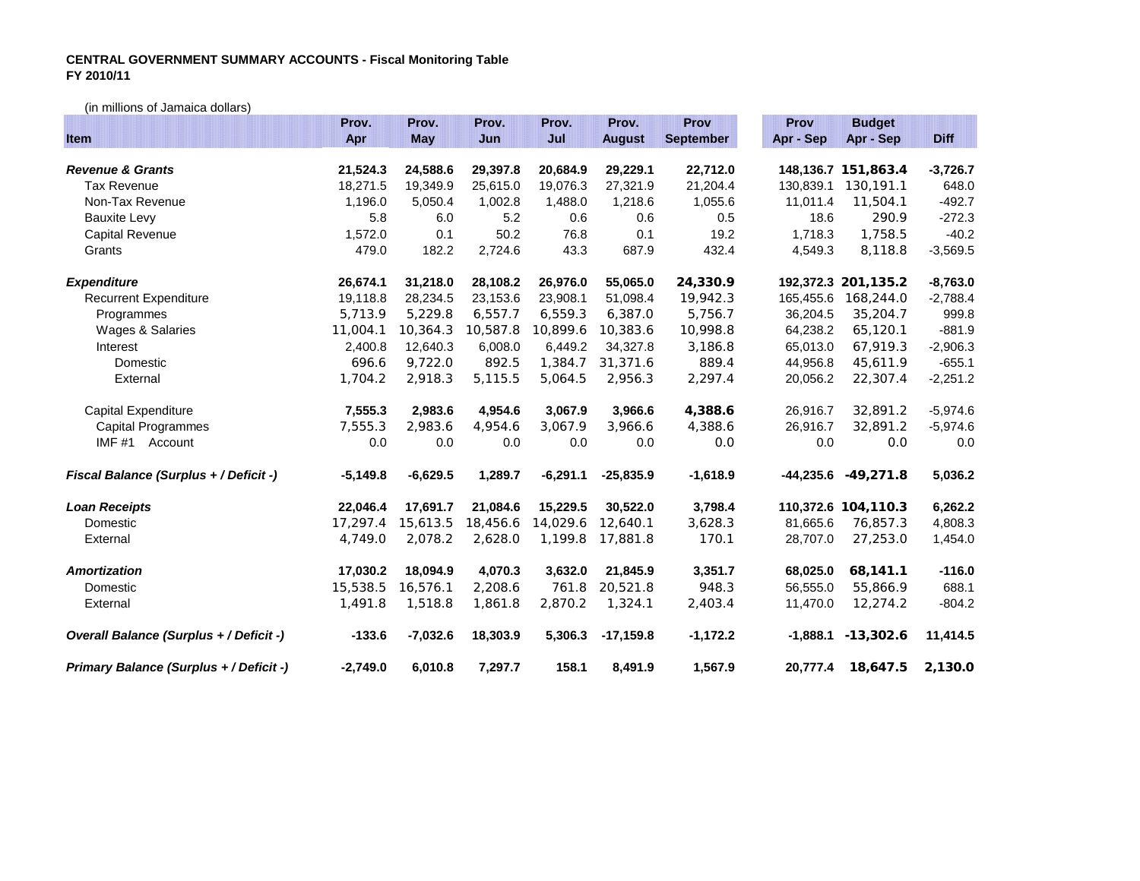## **CENTRAL GOVERNMENT SUMMARY ACCOUNTS - Fiscal Monitoring Table FY 2010/11**

(in millions of Jamaica dollars)

|                                         | Prov.      | Prov.      | Prov.    | Prov.      | Prov.         | Prov             | Prov        | <b>Budget</b>           |             |
|-----------------------------------------|------------|------------|----------|------------|---------------|------------------|-------------|-------------------------|-------------|
| Item                                    | Apr        | <b>May</b> | Jun      | Juli       | <b>August</b> | <b>September</b> | Apr - Sep   | Apr - Sep               | <b>Diff</b> |
|                                         |            |            |          |            |               |                  |             |                         |             |
| <b>Revenue &amp; Grants</b>             | 21,524.3   | 24,588.6   | 29,397.8 | 20,684.9   | 29,229.1      | 22,712.0         |             | 148, 136. 7 151, 863. 4 | $-3,726.7$  |
| <b>Tax Revenue</b>                      | 18,271.5   | 19,349.9   | 25,615.0 | 19,076.3   | 27,321.9      | 21,204.4         | 130,839.1   | 130, 191.1              | 648.0       |
| Non-Tax Revenue                         | 1,196.0    | 5,050.4    | 1,002.8  | 1,488.0    | 1,218.6       | 1,055.6          | 11,011.4    | 11,504.1                | $-492.7$    |
| <b>Bauxite Levy</b>                     | 5.8        | 6.0        | 5.2      | 0.6        | 0.6           | 0.5              | 18.6        | 290.9                   | $-272.3$    |
| Capital Revenue                         | 1,572.0    | 0.1        | 50.2     | 76.8       | 0.1           | 19.2             | 1,718.3     | 1,758.5                 | $-40.2$     |
| Grants                                  | 479.0      | 182.2      | 2,724.6  | 43.3       | 687.9         | 432.4            | 4,549.3     | 8,118.8                 | $-3,569.5$  |
| <b>Expenditure</b>                      | 26,674.1   | 31,218.0   | 28,108.2 | 26,976.0   | 55,065.0      | 24,330.9         |             | 192,372.3 201,135.2     | $-8,763.0$  |
| <b>Recurrent Expenditure</b>            | 19,118.8   | 28,234.5   | 23,153.6 | 23,908.1   | 51,098.4      | 19,942.3         | 165,455.6   | 168,244.0               | $-2,788.4$  |
| Programmes                              | 5,713.9    | 5,229.8    | 6,557.7  | 6,559.3    | 6,387.0       | 5,756.7          | 36,204.5    | 35,204.7                | 999.8       |
| Wages & Salaries                        | 11,004.1   | 10,364.3   | 10,587.8 | 10,899.6   | 10,383.6      | 10,998.8         | 64,238.2    | 65,120.1                | $-881.9$    |
| Interest                                | 2,400.8    | 12.640.3   | 6,008.0  | 6,449.2    | 34.327.8      | 3,186.8          | 65,013.0    | 67,919.3                | $-2,906.3$  |
| Domestic                                | 696.6      | 9,722.0    | 892.5    | 1,384.7    | 31,371.6      | 889.4            | 44,956.8    | 45,611.9                | $-655.1$    |
| External                                | 1,704.2    | 2,918.3    | 5,115.5  | 5,064.5    | 2,956.3       | 2,297.4          | 20,056.2    | 22,307.4                | $-2,251.2$  |
| Capital Expenditure                     | 7,555.3    | 2,983.6    | 4,954.6  | 3,067.9    | 3,966.6       | 4,388.6          | 26,916.7    | 32,891.2                | $-5,974.6$  |
| <b>Capital Programmes</b>               | 7,555.3    | 2,983.6    | 4,954.6  | 3,067.9    | 3,966.6       | 4,388.6          | 26,916.7    | 32,891.2                | $-5,974.6$  |
| IMF#1 Account                           | 0.0        | 0.0        | 0.0      | 0.0        | 0.0           | 0.0              | 0.0         | 0.0                     | 0.0         |
| Fiscal Balance (Surplus + / Deficit -)  | $-5,149.8$ | $-6,629.5$ | 1,289.7  | $-6,291.1$ | $-25,835.9$   | $-1,618.9$       | $-44,235.6$ | $-49,271.8$             | 5,036.2     |
| <b>Loan Receipts</b>                    | 22,046.4   | 17,691.7   | 21,084.6 | 15,229.5   | 30,522.0      | 3,798.4          |             | 110,372.6 104,110.3     | 6,262.2     |
| Domestic                                | 17.297.4   | 15,613.5   | 18,456.6 | 14,029.6   | 12.640.1      | 3,628.3          | 81,665.6    | 76,857.3                | 4,808.3     |
| External                                | 4,749.0    | 2,078.2    | 2,628.0  | 1,199.8    | 17,881.8      | 170.1            | 28,707.0    | 27,253.0                | 1,454.0     |
| <b>Amortization</b>                     | 17,030.2   | 18,094.9   | 4,070.3  | 3,632.0    | 21,845.9      | 3,351.7          | 68,025.0    | 68,141.1                | $-116.0$    |
| Domestic                                | 15,538.5   | 16,576.1   | 2,208.6  | 761.8      | 20,521.8      | 948.3            | 56,555.0    | 55,866.9                | 688.1       |
| External                                | 1,491.8    | 1,518.8    | 1,861.8  | 2,870.2    | 1,324.1       | 2,403.4          | 11,470.0    | 12,274.2                | $-804.2$    |
| Overall Balance (Surplus + / Deficit -) | $-133.6$   | $-7,032.6$ | 18,303.9 | 5,306.3    | $-17,159.8$   | $-1,172.2$       |             | $-1,888.1 - 13,302.6$   | 11,414.5    |
| Primary Balance (Surplus + / Deficit -) | $-2,749.0$ | 6,010.8    | 7,297.7  | 158.1      | 8,491.9       | 1,567.9          | 20,777.4    | 18,647.5                | 2,130.0     |